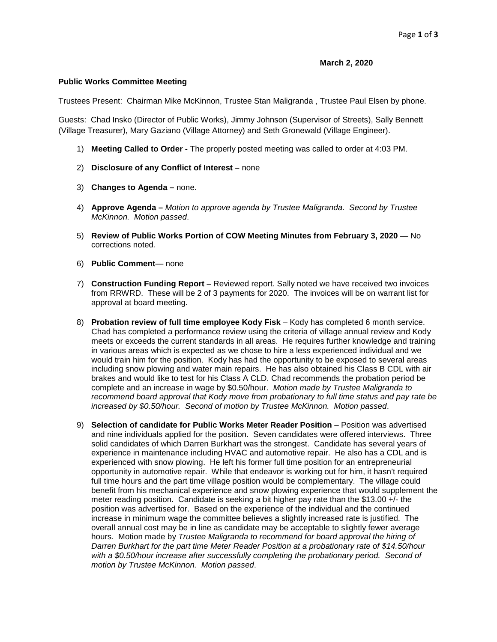## **March 2, 2020**

## **Public Works Committee Meeting**

Trustees Present: Chairman Mike McKinnon, Trustee Stan Maligranda , Trustee Paul Elsen by phone.

Guests: Chad Insko (Director of Public Works), Jimmy Johnson (Supervisor of Streets), Sally Bennett (Village Treasurer), Mary Gaziano (Village Attorney) and Seth Gronewald (Village Engineer).

- 1) **Meeting Called to Order -** The properly posted meeting was called to order at 4:03 PM.
- 2) **Disclosure of any Conflict of Interest –** none
- 3) **Changes to Agenda –** none.
- 4) **Approve Agenda –** *Motion to approve agenda by Trustee Maligranda. Second by Trustee McKinnon. Motion passed*.
- 5) **Review of Public Works Portion of COW Meeting Minutes from February 3, 2020** No corrections noted*.*
- 6) **Public Comment** none
- 7) **Construction Funding Report** Reviewed report. Sally noted we have received two invoices from RRWRD. These will be 2 of 3 payments for 2020. The invoices will be on warrant list for approval at board meeting.
- 8) **Probation review of full time employee Kody Fisk** Kody has completed 6 month service. Chad has completed a performance review using the criteria of village annual review and Kody meets or exceeds the current standards in all areas. He requires further knowledge and training in various areas which is expected as we chose to hire a less experienced individual and we would train him for the position. Kody has had the opportunity to be exposed to several areas including snow plowing and water main repairs. He has also obtained his Class B CDL with air brakes and would like to test for his Class A CLD. Chad recommends the probation period be complete and an increase in wage by \$0.50/hour. *Motion made by Trustee Maligranda to recommend board approval that Kody move from probationary to full time status and pay rate be increased by \$0.50/hour. Second of motion by Trustee McKinnon. Motion passed*.
- 9) **Selection of candidate for Public Works Meter Reader Position** Position was advertised and nine individuals applied for the position. Seven candidates were offered interviews. Three solid candidates of which Darren Burkhart was the strongest. Candidate has several years of experience in maintenance including HVAC and automotive repair. He also has a CDL and is experienced with snow plowing. He left his former full time position for an entrepreneurial opportunity in automotive repair. While that endeavor is working out for him, it hasn't required full time hours and the part time village position would be complementary. The village could benefit from his mechanical experience and snow plowing experience that would supplement the meter reading position. Candidate is seeking a bit higher pay rate than the \$13.00 +/- the position was advertised for. Based on the experience of the individual and the continued increase in minimum wage the committee believes a slightly increased rate is justified. The overall annual cost may be in line as candidate may be acceptable to slightly fewer average hours. Motion made by *Trustee Maligranda to recommend for board approval the hiring of Darren Burkhart for the part time Meter Reader Position at a probationary rate of \$14.50/hour*  with a \$0.50/hour increase after successfully completing the probationary period. Second of *motion by Trustee McKinnon. Motion passed*.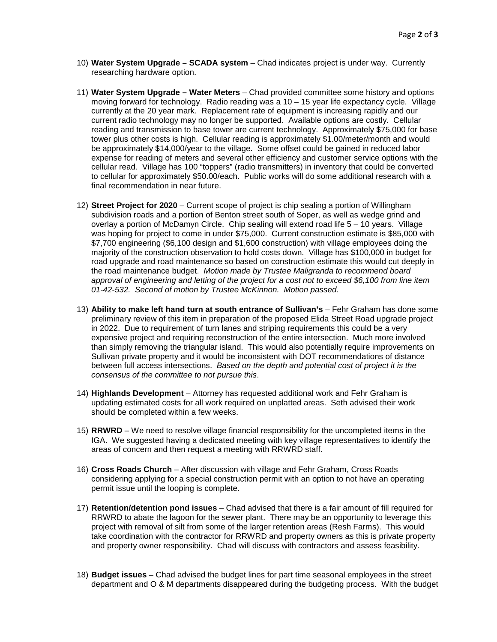- 10) **Water System Upgrade – SCADA system** Chad indicates project is under way. Currently researching hardware option.
- 11) **Water System Upgrade – Water Meters** Chad provided committee some history and options moving forward for technology. Radio reading was a  $10 - 15$  year life expectancy cycle. Village currently at the 20 year mark. Replacement rate of equipment is increasing rapidly and our current radio technology may no longer be supported. Available options are costly. Cellular reading and transmission to base tower are current technology. Approximately \$75,000 for base tower plus other costs is high. Cellular reading is approximately \$1.00/meter/month and would be approximately \$14,000/year to the village. Some offset could be gained in reduced labor expense for reading of meters and several other efficiency and customer service options with the cellular read. Village has 100 "toppers" (radio transmitters) in inventory that could be converted to cellular for approximately \$50.00/each. Public works will do some additional research with a final recommendation in near future.
- 12) **Street Project for 2020** Current scope of project is chip sealing a portion of Willingham subdivision roads and a portion of Benton street south of Soper, as well as wedge grind and overlay a portion of McDamyn Circle. Chip sealing will extend road life 5 – 10 years. Village was hoping for project to come in under \$75,000. Current construction estimate is \$85,000 with \$7,700 engineering (\$6,100 design and \$1,600 construction) with village employees doing the majority of the construction observation to hold costs down. Village has \$100,000 in budget for road upgrade and road maintenance so based on construction estimate this would cut deeply in the road maintenance budget. *Motion made by Trustee Maligranda to recommend board approval of engineering and letting of the project for a cost not to exceed \$6,100 from line item 01-42-532. Second of motion by Trustee McKinnon. Motion passed*.
- 13) **Ability to make left hand turn at south entrance of Sullivan's** Fehr Graham has done some preliminary review of this item in preparation of the proposed Elida Street Road upgrade project in 2022. Due to requirement of turn lanes and striping requirements this could be a very expensive project and requiring reconstruction of the entire intersection. Much more involved than simply removing the triangular island. This would also potentially require improvements on Sullivan private property and it would be inconsistent with DOT recommendations of distance between full access intersections. *Based on the depth and potential cost of project it is the consensus of the committee to not pursue this*.
- 14) **Highlands Development** Attorney has requested additional work and Fehr Graham is updating estimated costs for all work required on unplatted areas. Seth advised their work should be completed within a few weeks.
- 15) **RRWRD**  We need to resolve village financial responsibility for the uncompleted items in the IGA. We suggested having a dedicated meeting with key village representatives to identify the areas of concern and then request a meeting with RRWRD staff.
- 16) **Cross Roads Church** After discussion with village and Fehr Graham, Cross Roads considering applying for a special construction permit with an option to not have an operating permit issue until the looping is complete.
- 17) **Retention/detention pond issues** Chad advised that there is a fair amount of fill required for RRWRD to abate the lagoon for the sewer plant. There may be an opportunity to leverage this project with removal of silt from some of the larger retention areas (Resh Farms). This would take coordination with the contractor for RRWRD and property owners as this is private property and property owner responsibility. Chad will discuss with contractors and assess feasibility.
- 18) **Budget issues**  Chad advised the budget lines for part time seasonal employees in the street department and O & M departments disappeared during the budgeting process. With the budget